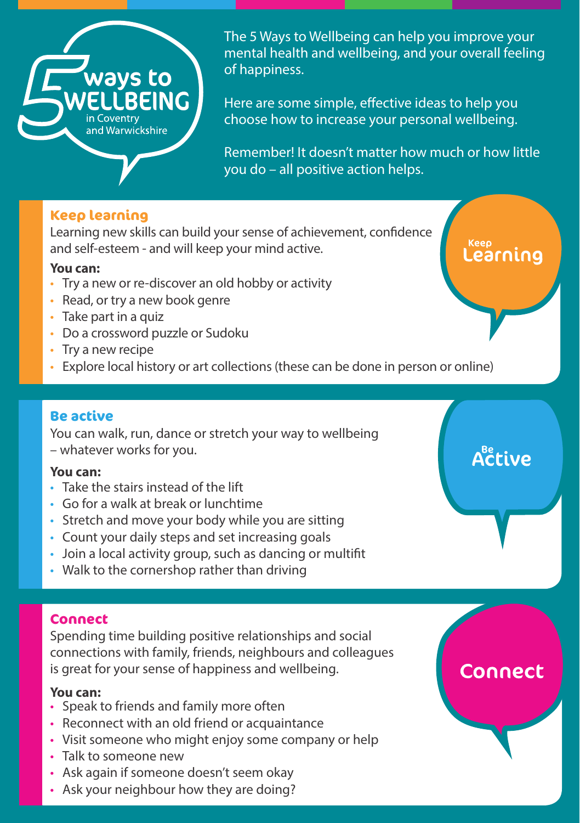

The 5 Ways to Wellbeing can help you improve your mental health and wellbeing, and your overall feeling of happiness.

Here are some simple, effective ideas to help you choose how to increase your personal wellbeing.

Remember! It doesn't matter how much or how little you do – all positive action helps.

#### **Keep learning**

Learning new skills can build your sense of achievement, confidence and self-esteem - and will keep your mind active.

#### **You can:**

- Try a new or re-discover an old hobby or activity
- Read, or try a new book genre
- Take part in a quiz
- Do a crossword puzzle or Sudoku
- Try a new recipe
- Explore local history or art collections (these can be done in person or online)

#### **Be active**

You can walk, run, dance or stretch your way to wellbeing – whatever works for you.

#### **You can:**

- Take the stairs instead of the lift
- Go for a walk at break or lunchtime
- Stretch and move your body while you are sitting
- Count your daily steps and set increasing goals
- Join a local activity group, such as dancing or multifit
- Walk to the cornershop rather than driving

#### **Connect**

Spending time building positive relationships and social connections with family, friends, neighbours and colleagues is great for your sense of happiness and wellbeing.

#### **You can:**

- Speak to friends and family more often
- Reconnect with an old friend or acquaintance
- Visit someone who might enjoy some company or help
- Talk to someone new
- Ask again if someone doesn't seem okay
- Ask your neighbour how they are doing?

## **Connect**

earning

Active